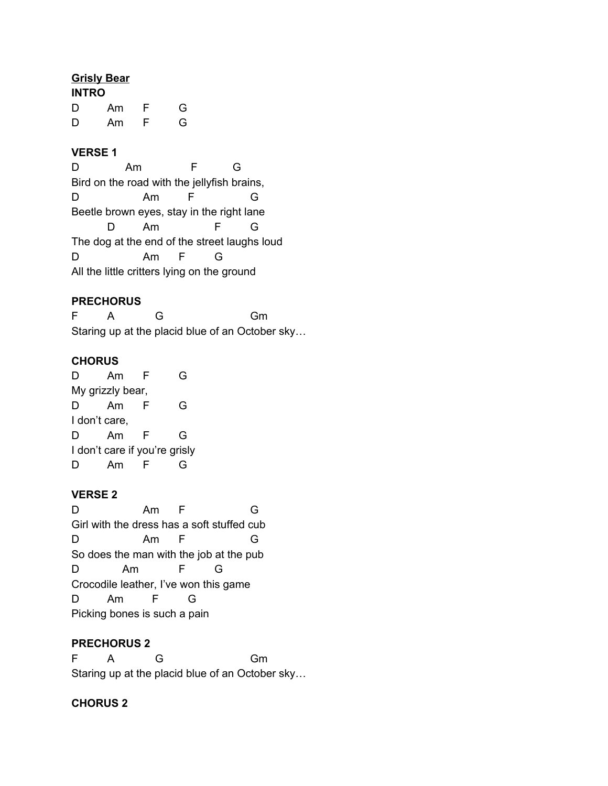#### **Grisly Bear**

| <b>INTRO</b> |    |   |   |
|--------------|----|---|---|
| D            | Am | F | G |
| D            | Am | F | G |

### **VERSE 1**

D Am F G Bird on the road with the jellyfish brains, D Am F G Beetle brown eyes, stay in the right lane D Am F G The dog at the end of the street laughs loud D Am F G All the little critters lying on the ground

### **PRECHORUS**

F A G Gm Staring up at the placid blue of an October sky…

#### **CHORUS**

D Am F G My grizzly bear, D Am F G I don't care, D Am F G I don't care if you're grisly D Am F G

#### **VERSE 2**

D Am F G Girl with the dress has a soft stuffed cub D Am F G So does the man with the job at the pub D Am F G Crocodile leather, I've won this game D Am F G Picking bones is such a pain

#### **PRECHORUS 2**

F A G Gm Staring up at the placid blue of an October sky…

### **CHORUS 2**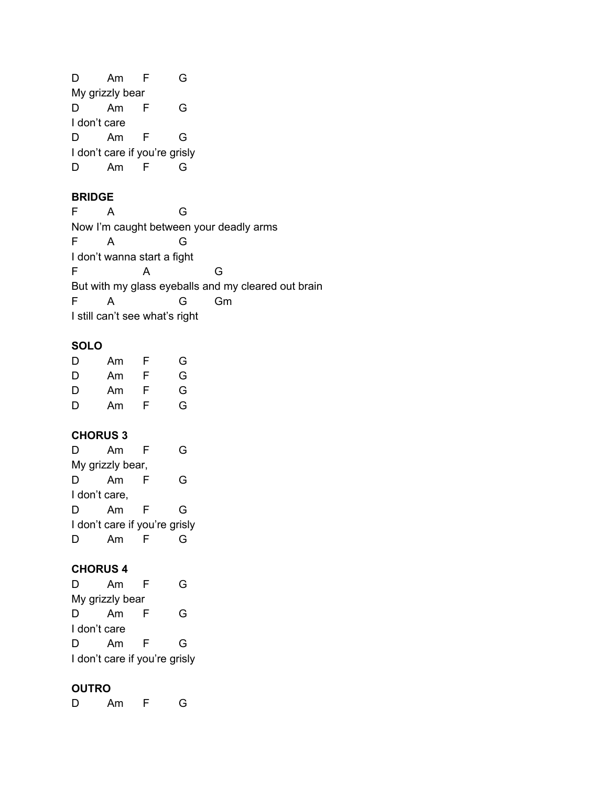D Am F G My grizzly bear D Am F G I don't care D Am F G I don't care if you're grisly D Am F G

## **BRIDGE**

| F                                       |   | G                              |    |                                                     |
|-----------------------------------------|---|--------------------------------|----|-----------------------------------------------------|
| Now I'm caught between your deadly arms |   |                                |    |                                                     |
| F                                       | А |                                |    |                                                     |
| I don't wanna start a fight             |   |                                |    |                                                     |
| F                                       |   |                                | G  |                                                     |
|                                         |   |                                |    | But with my glass eyeballs and my cleared out brain |
| F                                       | А |                                | Gm |                                                     |
|                                         |   | I still can't see what's right |    |                                                     |

# **SOLO**

| D | Am | F | G |
|---|----|---|---|
| D | Am | F | G |
| D | Am | F | G |
| D | Am | F | G |

## **CHORUS 3**

| ן ו                           | Am | F | G |
|-------------------------------|----|---|---|
| My grizzly bear,              |    |   |   |
| D                             | Am | ⊢ | G |
| I don't care,                 |    |   |   |
| D                             | Am | F | G |
| I don't care if you're grisly |    |   |   |
|                               | Am |   |   |

# **CHORUS 4**

| D                             | Am              | F | ( - |
|-------------------------------|-----------------|---|-----|
|                               | My grizzly bear |   |     |
| D                             | Am              | F | G   |
|                               | I don't care    |   |     |
| D                             | Am              | F | G   |
| I don't care if you're grisly |                 |   |     |

# **OUTRO**

D Am F G